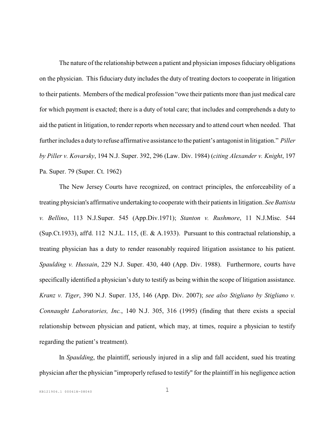The nature of the relationship between a patient and physician imposes fiduciary obligations on the physician. This fiduciary duty includes the duty of treating doctors to cooperate in litigation to their patients. Members of the medical profession "owe their patients more than just medical care for which payment is exacted; there is a duty of total care; that includes and comprehends a duty to aid the patient in litigation, to render reports when necessary and to attend court when needed. That further includes a duty to refuse affirmative assistance to the patient's antagonist in litigation." *Piller by Piller v. Kovarsky*, 194 N.J. Super. 392, 296 (Law. Div. 1984) (*citing Alexander v. Knight*, 197 Pa. Super. 79 (Super. Ct. 1962)

The New Jersey Courts have recognized, on contract principles, the enforceability of a treating physician's affirmative undertaking to cooperate with their patients in litigation. *See Battista v. Bellino*, 113 N.J.Super. 545 (App.Div.1971); *Stanton v. Rushmore*, 11 N.J.Misc. 544 (Sup.Ct.1933), aff'd. 112 N.J.L. 115, (E. & A.1933). Pursuant to this contractual relationship, a treating physician has a duty to render reasonably required litigation assistance to his patient. *Spaulding v. Hussain*, 229 N.J. Super. 430, 440 (App. Div. 1988). Furthermore, courts have specifically identified a physician's duty to testify as being within the scope of litigation assistance. *Kranz v. Tiger*, 390 N.J. Super. 135, 146 (App. Div. 2007); *see also Stigliano by Stigliano v. Connaught Laboratories, Inc.*, 140 N.J. 305, 316 (1995) (finding that there exists a special relationship between physician and patient, which may, at times, require a physician to testify regarding the patient's treatment).

In *Spaulding*, the plaintiff, seriously injured in a slip and fall accident, sued his treating physician after the physician "improperly refused to testify" for the plaintiff in his negligence action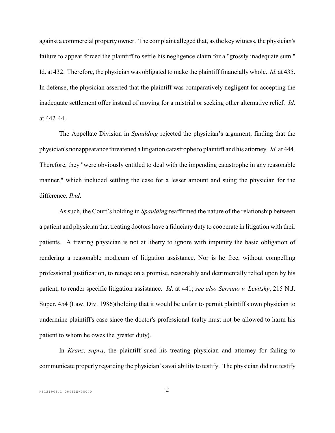against a commercial property owner. The complaint alleged that, asthe key witness, the physician's failure to appear forced the plaintiff to settle his negligence claim for a "grossly inadequate sum." Id. at 432. Therefore, the physician was obligated to make the plaintiff financially whole. *Id*. at 435. In defense, the physician asserted that the plaintiff was comparatively negligent for accepting the inadequate settlement offer instead of moving for a mistrial or seeking other alternative relief. *Id*. at 442-44.

The Appellate Division in *Spaulding* rejected the physician's argument, finding that the physician's nonappearance threatened a litigation catastrophe to plaintiff and his attorney. *Id*. at 444. Therefore, they "were obviously entitled to deal with the impending catastrophe in any reasonable manner," which included settling the case for a lesser amount and suing the physician for the difference. *Ibid*.

As such, the Court's holding in *Spaulding* reaffirmed the nature of the relationship between a patient and physician that treating doctors have a fiduciary duty to cooperate in litigation with their patients. A treating physician is not at liberty to ignore with impunity the basic obligation of rendering a reasonable modicum of litigation assistance. Nor is he free, without compelling professional justification, to renege on a promise, reasonably and detrimentally relied upon by his patient, to render specific litigation assistance. *Id*. at 441; *see also Serrano v. Levitsky*, 215 N.J. Super. 454 (Law. Div. 1986)(holding that it would be unfair to permit plaintiff's own physician to undermine plaintiff's case since the doctor's professional fealty must not be allowed to harm his patient to whom he owes the greater duty).

In *Kranz, supra*, the plaintiff sued his treating physician and attorney for failing to communicate properly regarding the physician's availability to testify. The physician did not testify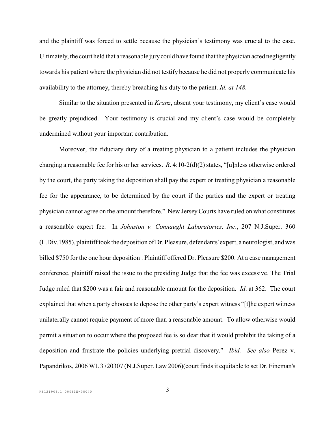and the plaintiff was forced to settle because the physician's testimony was crucial to the case. Ultimately, the court held that a reasonable jury could have found that the physician acted negligently towards his patient where the physician did not testify because he did not properly communicate his availability to the attorney, thereby breaching his duty to the patient. *Id. at 148*.

Similar to the situation presented in *Kranz*, absent your testimony, my client's case would be greatly prejudiced. Your testimony is crucial and my client's case would be completely undermined without your important contribution.

Moreover, the fiduciary duty of a treating physician to a patient includes the physician charging a reasonable fee for his or her services. *R*. 4:10-2(d)(2) states, "[u]nless otherwise ordered by the court, the party taking the deposition shall pay the expert or treating physician a reasonable fee for the appearance, to be determined by the court if the parties and the expert or treating physician cannot agree on the amount therefore." New JerseyCourts have ruled on what constitutes a reasonable expert fee. In *Johnston v. Connaught Laboratories, Inc*., 207 N.J.Super. 360 (L.Div.1985), plaintiff took the deposition of Dr. Pleasure, defendants' expert, a neurologist, and was billed \$750 for the one hour deposition . Plaintiff offered Dr. Pleasure \$200. At a case management conference, plaintiff raised the issue to the presiding Judge that the fee was excessive. The Trial Judge ruled that \$200 was a fair and reasonable amount for the deposition. *Id*. at 362. The court explained that when a party chooses to depose the other party's expert witness "[t]he expert witness unilaterally cannot require payment of more than a reasonable amount. To allow otherwise would permit a situation to occur where the proposed fee is so dear that it would prohibit the taking of a deposition and frustrate the policies underlying pretrial discovery." *Ibid. See also* Perez v. Papandrikos, 2006 WL 3720307 (N.J.Super. Law 2006)(court finds it equitable to set Dr. Fineman's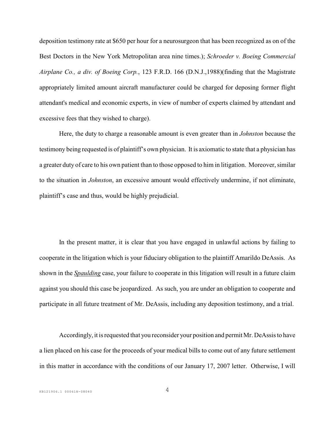deposition testimony rate at \$650 per hour for a neurosurgeon that has been recognized as on of the Best Doctors in the New York Metropolitan area nine times.); *Schroeder v. Boeing Commercial Airplane Co., a div. of Boeing Corp.*, 123 F.R.D. 166 (D.N.J.,1988)(finding that the Magistrate appropriately limited amount aircraft manufacturer could be charged for deposing former flight attendant's medical and economic experts, in view of number of experts claimed by attendant and excessive fees that they wished to charge).

Here, the duty to charge a reasonable amount is even greater than in *Johnston* because the testimony being requested is of plaintiff's own physician. It is axiomatic to state that a physician has a greater duty of care to his own patient than to those opposed to him in litigation. Moreover, similar to the situation in *Johnston*, an excessive amount would effectively undermine, if not eliminate, plaintiff's case and thus, would be highly prejudicial.

In the present matter, it is clear that you have engaged in unlawful actions by failing to cooperate in the litigation which is your fiduciary obligation to the plaintiff Amarildo DeAssis. As shown in the *Spaulding* case, your failure to cooperate in this litigation will result in a future claim against you should this case be jeopardized. As such, you are under an obligation to cooperate and participate in all future treatment of Mr. DeAssis, including any deposition testimony, and a trial.

Accordingly, it is requested that you reconsider your position and permit Mr. DeAssis to have a lien placed on his case for the proceeds of your medical bills to come out of any future settlement in this matter in accordance with the conditions of our January 17, 2007 letter. Otherwise, I will